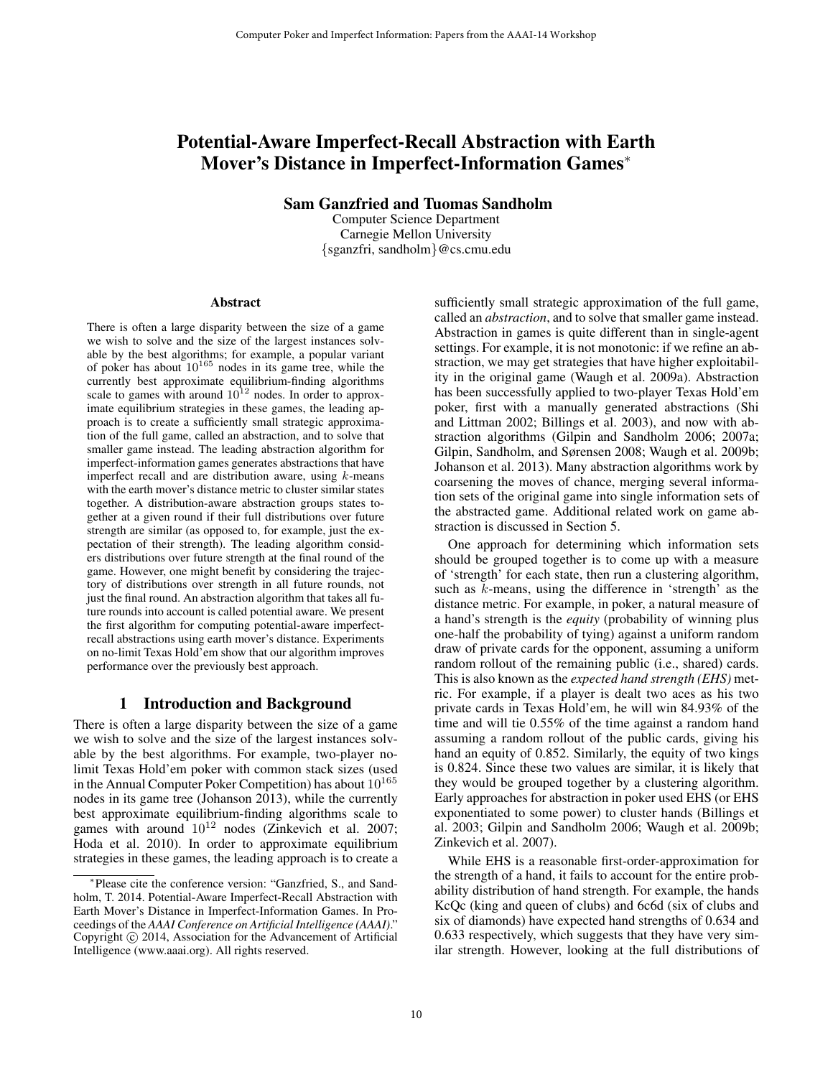# Potential-Aware Imperfect-Recall Abstraction with Earth Mover's Distance in Imperfect-Information Games<sup>∗</sup>

Sam Ganzfried and Tuomas Sandholm

Computer Science Department Carnegie Mellon University {sganzfri, sandholm}@cs.cmu.edu

#### Abstract

There is often a large disparity between the size of a game we wish to solve and the size of the largest instances solvable by the best algorithms; for example, a popular variant of poker has about  $10^{165}$  nodes in its game tree, while the currently best approximate equilibrium-finding algorithms scale to games with around  $10^{12}$  nodes. In order to approximate equilibrium strategies in these games, the leading approach is to create a sufficiently small strategic approximation of the full game, called an abstraction, and to solve that smaller game instead. The leading abstraction algorithm for imperfect-information games generates abstractions that have imperfect recall and are distribution aware, using  $k$ -means with the earth mover's distance metric to cluster similar states together. A distribution-aware abstraction groups states together at a given round if their full distributions over future strength are similar (as opposed to, for example, just the expectation of their strength). The leading algorithm considers distributions over future strength at the final round of the game. However, one might benefit by considering the trajectory of distributions over strength in all future rounds, not just the final round. An abstraction algorithm that takes all future rounds into account is called potential aware. We present the first algorithm for computing potential-aware imperfectrecall abstractions using earth mover's distance. Experiments on no-limit Texas Hold'em show that our algorithm improves performance over the previously best approach.

### 1 Introduction and Background

There is often a large disparity between the size of a game we wish to solve and the size of the largest instances solvable by the best algorithms. For example, two-player nolimit Texas Hold'em poker with common stack sizes (used in the Annual Computer Poker Competition) has about  $10^{165}$ nodes in its game tree (Johanson 2013), while the currently best approximate equilibrium-finding algorithms scale to games with around  $10^{12}$  nodes (Zinkevich et al. 2007; Hoda et al. 2010). In order to approximate equilibrium strategies in these games, the leading approach is to create a

sufficiently small strategic approximation of the full game, called an *abstraction*, and to solve that smaller game instead. Abstraction in games is quite different than in single-agent settings. For example, it is not monotonic: if we refine an abstraction, we may get strategies that have higher exploitability in the original game (Waugh et al. 2009a). Abstraction has been successfully applied to two-player Texas Hold'em poker, first with a manually generated abstractions (Shi and Littman 2002; Billings et al. 2003), and now with abstraction algorithms (Gilpin and Sandholm 2006; 2007a; Gilpin, Sandholm, and Sørensen 2008; Waugh et al. 2009b; Johanson et al. 2013). Many abstraction algorithms work by coarsening the moves of chance, merging several information sets of the original game into single information sets of the abstracted game. Additional related work on game abstraction is discussed in Section 5.

One approach for determining which information sets should be grouped together is to come up with a measure of 'strength' for each state, then run a clustering algorithm, such as k-means, using the difference in 'strength' as the distance metric. For example, in poker, a natural measure of a hand's strength is the *equity* (probability of winning plus one-half the probability of tying) against a uniform random draw of private cards for the opponent, assuming a uniform random rollout of the remaining public (i.e., shared) cards. This is also known as the *expected hand strength (EHS)* metric. For example, if a player is dealt two aces as his two private cards in Texas Hold'em, he will win 84.93% of the time and will tie 0.55% of the time against a random hand assuming a random rollout of the public cards, giving his hand an equity of 0.852. Similarly, the equity of two kings is 0.824. Since these two values are similar, it is likely that they would be grouped together by a clustering algorithm. Early approaches for abstraction in poker used EHS (or EHS exponentiated to some power) to cluster hands (Billings et al. 2003; Gilpin and Sandholm 2006; Waugh et al. 2009b; Zinkevich et al. 2007).

While EHS is a reasonable first-order-approximation for the strength of a hand, it fails to account for the entire probability distribution of hand strength. For example, the hands KcQc (king and queen of clubs) and 6c6d (six of clubs and six of diamonds) have expected hand strengths of 0.634 and 0.633 respectively, which suggests that they have very similar strength. However, looking at the full distributions of

<sup>∗</sup> Please cite the conference version: "Ganzfried, S., and Sandholm, T. 2014. Potential-Aware Imperfect-Recall Abstraction with Earth Mover's Distance in Imperfect-Information Games. In Proceedings of the *AAAI Conference on Artificial Intelligence (AAAI)*." Copyright  $\odot$  2014, Association for the Advancement of Artificial Intelligence (www.aaai.org). All rights reserved.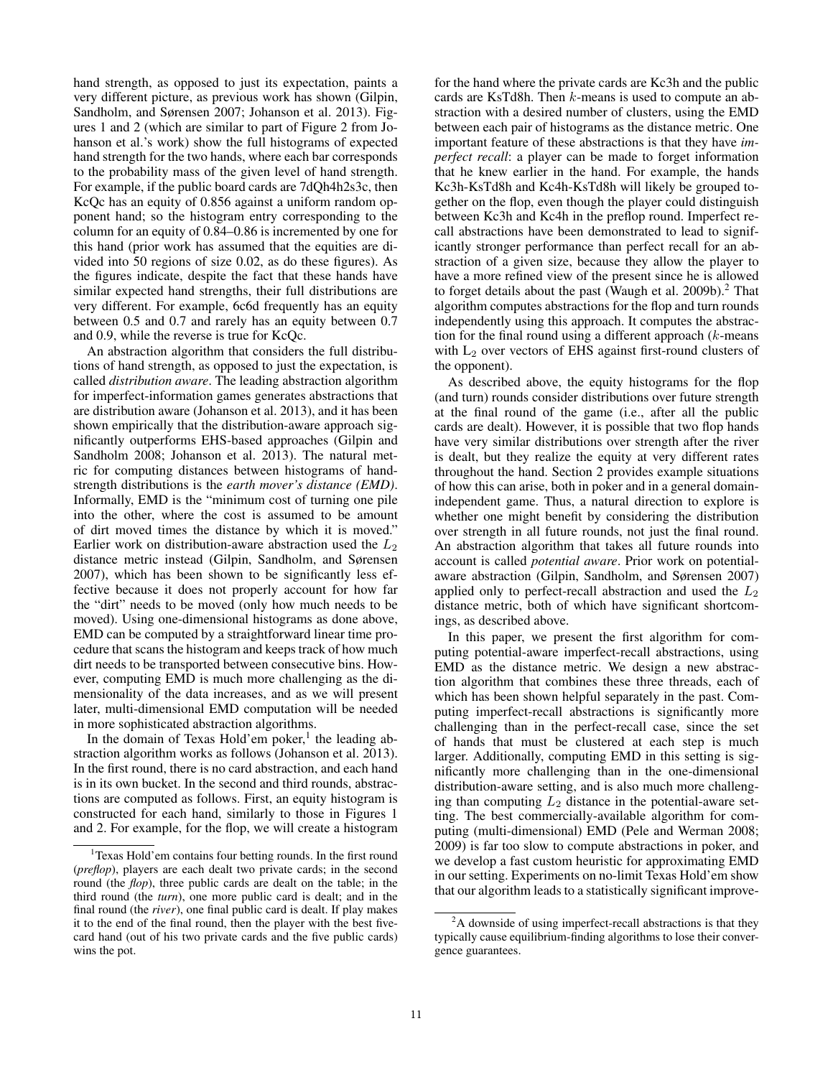hand strength, as opposed to just its expectation, paints a very different picture, as previous work has shown (Gilpin, Sandholm, and Sørensen 2007; Johanson et al. 2013). Figures 1 and 2 (which are similar to part of Figure 2 from Johanson et al.'s work) show the full histograms of expected hand strength for the two hands, where each bar corresponds to the probability mass of the given level of hand strength. For example, if the public board cards are 7dQh4h2s3c, then KcQc has an equity of 0.856 against a uniform random opponent hand; so the histogram entry corresponding to the column for an equity of 0.84–0.86 is incremented by one for this hand (prior work has assumed that the equities are divided into 50 regions of size 0.02, as do these figures). As the figures indicate, despite the fact that these hands have similar expected hand strengths, their full distributions are very different. For example, 6c6d frequently has an equity between 0.5 and 0.7 and rarely has an equity between 0.7 and 0.9, while the reverse is true for KcQc.

An abstraction algorithm that considers the full distributions of hand strength, as opposed to just the expectation, is called *distribution aware*. The leading abstraction algorithm for imperfect-information games generates abstractions that are distribution aware (Johanson et al. 2013), and it has been shown empirically that the distribution-aware approach significantly outperforms EHS-based approaches (Gilpin and Sandholm 2008; Johanson et al. 2013). The natural metric for computing distances between histograms of handstrength distributions is the *earth mover's distance (EMD)*. Informally, EMD is the "minimum cost of turning one pile into the other, where the cost is assumed to be amount of dirt moved times the distance by which it is moved." Earlier work on distribution-aware abstraction used the  $L_2$ distance metric instead (Gilpin, Sandholm, and Sørensen 2007), which has been shown to be significantly less effective because it does not properly account for how far the "dirt" needs to be moved (only how much needs to be moved). Using one-dimensional histograms as done above, EMD can be computed by a straightforward linear time procedure that scans the histogram and keeps track of how much dirt needs to be transported between consecutive bins. However, computing EMD is much more challenging as the dimensionality of the data increases, and as we will present later, multi-dimensional EMD computation will be needed in more sophisticated abstraction algorithms.

In the domain of Texas Hold'em poker, $<sup>1</sup>$  the leading ab-</sup> straction algorithm works as follows (Johanson et al. 2013). In the first round, there is no card abstraction, and each hand is in its own bucket. In the second and third rounds, abstractions are computed as follows. First, an equity histogram is constructed for each hand, similarly to those in Figures 1 and 2. For example, for the flop, we will create a histogram

for the hand where the private cards are Kc3h and the public cards are KsTd8h. Then k-means is used to compute an abstraction with a desired number of clusters, using the EMD between each pair of histograms as the distance metric. One important feature of these abstractions is that they have *imperfect recall*: a player can be made to forget information that he knew earlier in the hand. For example, the hands Kc3h-KsTd8h and Kc4h-KsTd8h will likely be grouped together on the flop, even though the player could distinguish between Kc3h and Kc4h in the preflop round. Imperfect recall abstractions have been demonstrated to lead to significantly stronger performance than perfect recall for an abstraction of a given size, because they allow the player to have a more refined view of the present since he is allowed to forget details about the past (Waugh et al. 2009b).<sup>2</sup> That algorithm computes abstractions for the flop and turn rounds independently using this approach. It computes the abstraction for the final round using a different approach  $(k$ -means with  $L_2$  over vectors of EHS against first-round clusters of the opponent).

As described above, the equity histograms for the flop (and turn) rounds consider distributions over future strength at the final round of the game (i.e., after all the public cards are dealt). However, it is possible that two flop hands have very similar distributions over strength after the river is dealt, but they realize the equity at very different rates throughout the hand. Section 2 provides example situations of how this can arise, both in poker and in a general domainindependent game. Thus, a natural direction to explore is whether one might benefit by considering the distribution over strength in all future rounds, not just the final round. An abstraction algorithm that takes all future rounds into account is called *potential aware*. Prior work on potentialaware abstraction (Gilpin, Sandholm, and Sørensen 2007) applied only to perfect-recall abstraction and used the  $L_2$ distance metric, both of which have significant shortcomings, as described above.

In this paper, we present the first algorithm for computing potential-aware imperfect-recall abstractions, using EMD as the distance metric. We design a new abstraction algorithm that combines these three threads, each of which has been shown helpful separately in the past. Computing imperfect-recall abstractions is significantly more challenging than in the perfect-recall case, since the set of hands that must be clustered at each step is much larger. Additionally, computing EMD in this setting is significantly more challenging than in the one-dimensional distribution-aware setting, and is also much more challenging than computing  $L_2$  distance in the potential-aware setting. The best commercially-available algorithm for computing (multi-dimensional) EMD (Pele and Werman 2008; 2009) is far too slow to compute abstractions in poker, and we develop a fast custom heuristic for approximating EMD in our setting. Experiments on no-limit Texas Hold'em show that our algorithm leads to a statistically significant improve-

<sup>&</sup>lt;sup>1</sup>Texas Hold'em contains four betting rounds. In the first round (*preflop*), players are each dealt two private cards; in the second round (the *flop*), three public cards are dealt on the table; in the third round (the *turn*), one more public card is dealt; and in the final round (the *river*), one final public card is dealt. If play makes it to the end of the final round, then the player with the best fivecard hand (out of his two private cards and the five public cards) wins the pot.

 $2A$  downside of using imperfect-recall abstractions is that they typically cause equilibrium-finding algorithms to lose their convergence guarantees.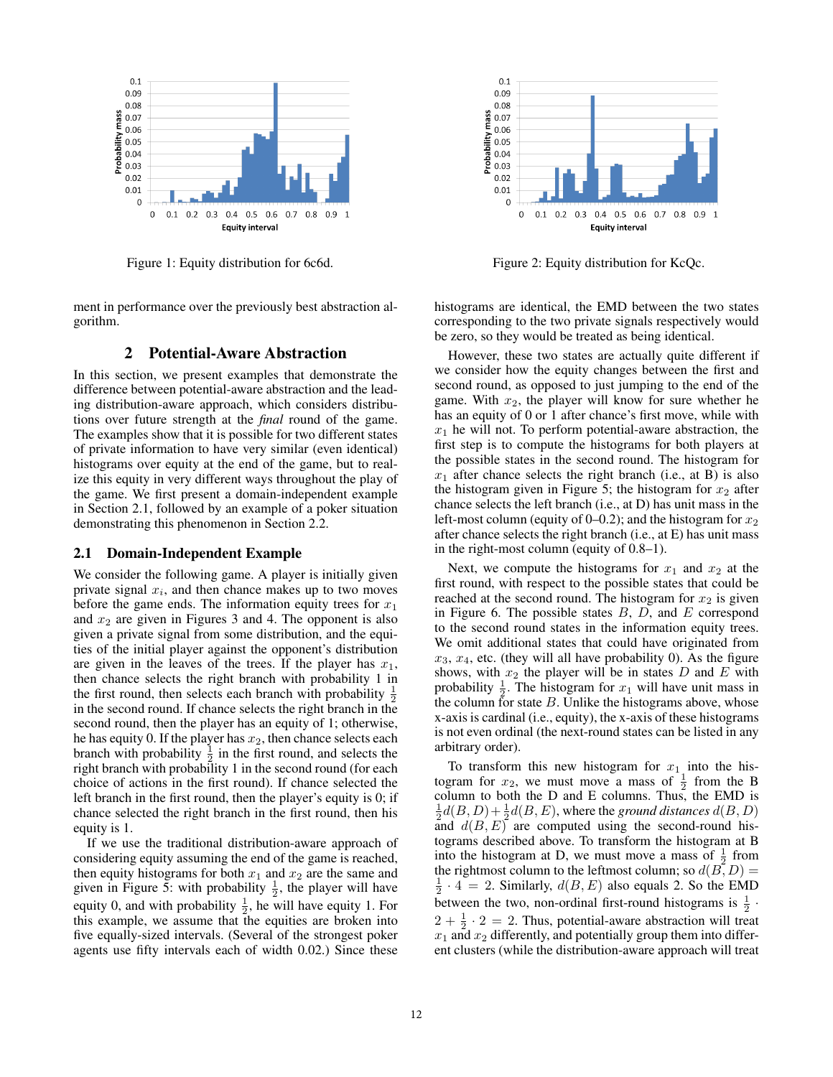

ment in performance over the previously best abstraction algorithm.

## 2 Potential-Aware Abstraction

In this section, we present examples that demonstrate the difference between potential-aware abstraction and the leading distribution-aware approach, which considers distributions over future strength at the *final* round of the game. The examples show that it is possible for two different states of private information to have very similar (even identical) histograms over equity at the end of the game, but to realize this equity in very different ways throughout the play of the game. We first present a domain-independent example in Section 2.1, followed by an example of a poker situation demonstrating this phenomenon in Section 2.2.

#### 2.1 Domain-Independent Example

We consider the following game. A player is initially given private signal  $x_i$ , and then chance makes up to two moves before the game ends. The information equity trees for  $x_1$ and  $x_2$  are given in Figures 3 and 4. The opponent is also given a private signal from some distribution, and the equities of the initial player against the opponent's distribution are given in the leaves of the trees. If the player has  $x_1$ , then chance selects the right branch with probability 1 in the first round, then selects each branch with probability  $\frac{1}{2}$ in the second round. If chance selects the right branch in the second round, then the player has an equity of 1; otherwise, he has equity 0. If the player has  $x_2$ , then chance selects each branch with probability  $\frac{1}{2}$  in the first round, and selects the right branch with probability 1 in the second round (for each choice of actions in the first round). If chance selected the left branch in the first round, then the player's equity is 0; if chance selected the right branch in the first round, then his equity is 1.

If we use the traditional distribution-aware approach of considering equity assuming the end of the game is reached, then equity histograms for both  $x_1$  and  $x_2$  are the same and given in Figure 5: with probability  $\frac{1}{2}$ , the player will have equity 0, and with probability  $\frac{1}{2}$ , he will have equity 1. For this example, we assume that the equities are broken into five equally-sized intervals. (Several of the strongest poker agents use fifty intervals each of width 0.02.) Since these



Figure 1: Equity distribution for 6c6d. Figure 2: Equity distribution for KcQc.

histograms are identical, the EMD between the two states corresponding to the two private signals respectively would be zero, so they would be treated as being identical.

However, these two states are actually quite different if we consider how the equity changes between the first and second round, as opposed to just jumping to the end of the game. With  $x_2$ , the player will know for sure whether he has an equity of 0 or 1 after chance's first move, while with  $x_1$  he will not. To perform potential-aware abstraction, the first step is to compute the histograms for both players at the possible states in the second round. The histogram for  $x_1$  after chance selects the right branch (i.e., at B) is also the histogram given in Figure 5; the histogram for  $x_2$  after chance selects the left branch (i.e., at D) has unit mass in the left-most column (equity of  $0$ –0.2); and the histogram for  $x_2$ after chance selects the right branch (i.e., at E) has unit mass in the right-most column (equity of 0.8–1).

Next, we compute the histograms for  $x_1$  and  $x_2$  at the first round, with respect to the possible states that could be reached at the second round. The histogram for  $x_2$  is given in Figure 6. The possible states  $B, D$ , and  $E$  correspond to the second round states in the information equity trees. We omit additional states that could have originated from  $x_3, x_4$ , etc. (they will all have probability 0). As the figure shows, with  $x_2$  the player will be in states  $D$  and  $E$  with probability  $\frac{1}{2}$ . The histogram for  $x_1$  will have unit mass in the column for state  $B$ . Unlike the histograms above, whose x-axis is cardinal (i.e., equity), the x-axis of these histograms is not even ordinal (the next-round states can be listed in any arbitrary order).

To transform this new histogram for  $x_1$  into the histogram for  $x_2$ , we must move a mass of  $\frac{1}{2}$  from the B column to both the D and E columns. Thus, the EMD is  $\frac{1}{2}d(B, D) + \frac{1}{2}d(B, E)$ , where the *ground distances*  $d(B, D)$ and  $d(B, E)$  are computed using the second-round histograms described above. To transform the histogram at B into the histogram at D, we must move a mass of  $\frac{1}{2}$  from the rightmost column to the leftmost column; so  $d(B, D) =$  $\frac{1}{2} \cdot 4 = 2$ . Similarly,  $d(B, E)$  also equals 2. So the EMD between the two, non-ordinal first-round histograms is  $\frac{1}{2}$ .  $2 + \frac{1}{2} \cdot 2 = 2$ . Thus, potential-aware abstraction will treat  $x_1$  and  $x_2$  differently, and potentially group them into different clusters (while the distribution-aware approach will treat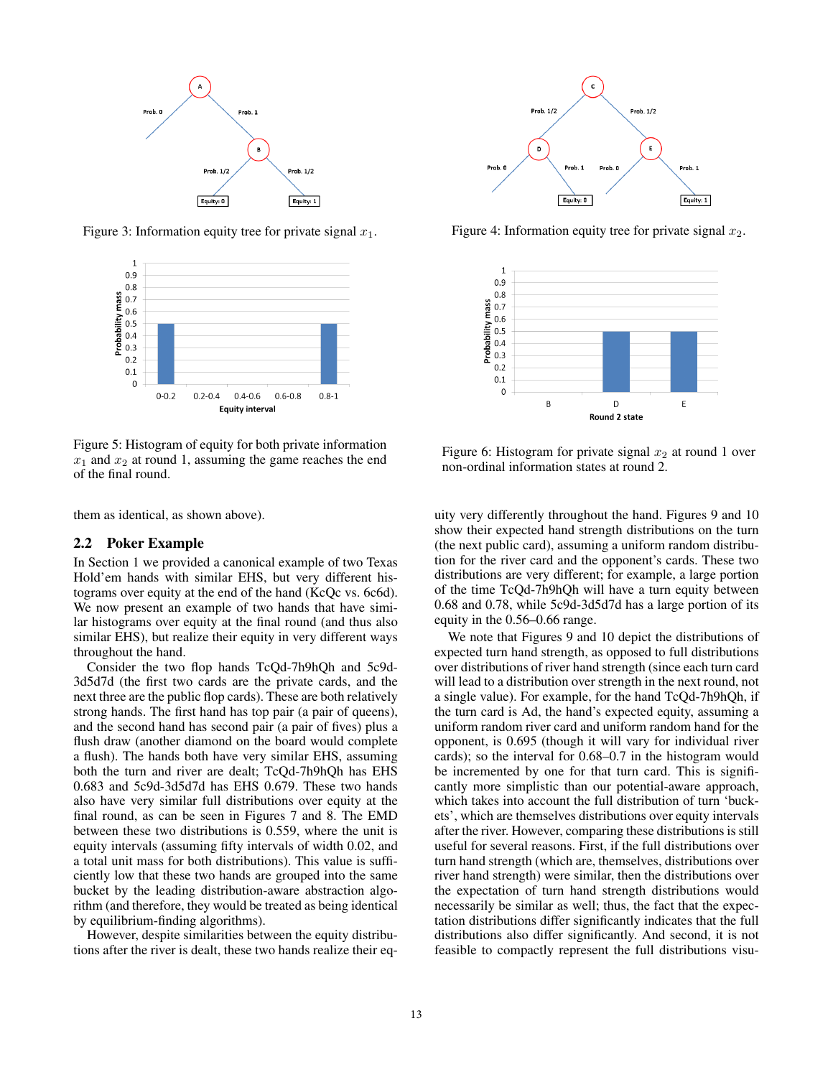

Figure 3: Information equity tree for private signal  $x_1$ . Figure 4: Information equity tree for private signal  $x_2$ .



Figure 5: Histogram of equity for both private information  $x_1$  and  $x_2$  at round 1, assuming the game reaches the end of the final round.

them as identical, as shown above).

#### 2.2 Poker Example

In Section 1 we provided a canonical example of two Texas Hold'em hands with similar EHS, but very different histograms over equity at the end of the hand (KcQc vs. 6c6d). We now present an example of two hands that have similar histograms over equity at the final round (and thus also similar EHS), but realize their equity in very different ways throughout the hand.

Consider the two flop hands TcQd-7h9hQh and 5c9d-3d5d7d (the first two cards are the private cards, and the next three are the public flop cards). These are both relatively strong hands. The first hand has top pair (a pair of queens), and the second hand has second pair (a pair of fives) plus a flush draw (another diamond on the board would complete a flush). The hands both have very similar EHS, assuming both the turn and river are dealt; TcQd-7h9hQh has EHS 0.683 and 5c9d-3d5d7d has EHS 0.679. These two hands also have very similar full distributions over equity at the final round, as can be seen in Figures 7 and 8. The EMD between these two distributions is 0.559, where the unit is equity intervals (assuming fifty intervals of width 0.02, and a total unit mass for both distributions). This value is sufficiently low that these two hands are grouped into the same bucket by the leading distribution-aware abstraction algorithm (and therefore, they would be treated as being identical by equilibrium-finding algorithms).

However, despite similarities between the equity distributions after the river is dealt, these two hands realize their eq-





Figure 6: Histogram for private signal  $x_2$  at round 1 over non-ordinal information states at round 2.

uity very differently throughout the hand. Figures 9 and 10 show their expected hand strength distributions on the turn (the next public card), assuming a uniform random distribution for the river card and the opponent's cards. These two distributions are very different; for example, a large portion of the time TcQd-7h9hQh will have a turn equity between 0.68 and 0.78, while 5c9d-3d5d7d has a large portion of its equity in the 0.56–0.66 range.

We note that Figures 9 and 10 depict the distributions of expected turn hand strength, as opposed to full distributions over distributions of river hand strength (since each turn card will lead to a distribution over strength in the next round, not a single value). For example, for the hand TcQd-7h9hQh, if the turn card is Ad, the hand's expected equity, assuming a uniform random river card and uniform random hand for the opponent, is 0.695 (though it will vary for individual river cards); so the interval for 0.68–0.7 in the histogram would be incremented by one for that turn card. This is significantly more simplistic than our potential-aware approach, which takes into account the full distribution of turn 'buckets', which are themselves distributions over equity intervals after the river. However, comparing these distributions is still useful for several reasons. First, if the full distributions over turn hand strength (which are, themselves, distributions over river hand strength) were similar, then the distributions over the expectation of turn hand strength distributions would necessarily be similar as well; thus, the fact that the expectation distributions differ significantly indicates that the full distributions also differ significantly. And second, it is not feasible to compactly represent the full distributions visu-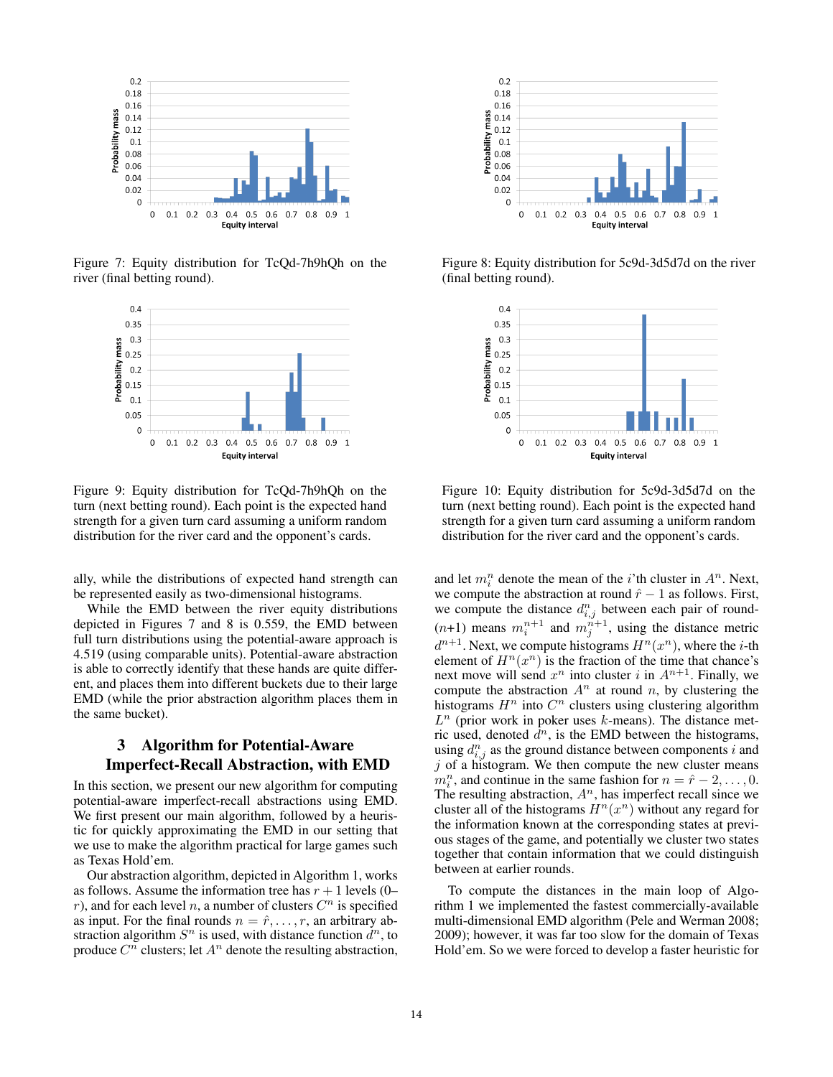

Figure 7: Equity distribution for TcQd-7h9hQh on the river (final betting round).



Figure 9: Equity distribution for TcQd-7h9hQh on the turn (next betting round). Each point is the expected hand strength for a given turn card assuming a uniform random distribution for the river card and the opponent's cards.

ally, while the distributions of expected hand strength can be represented easily as two-dimensional histograms.

While the EMD between the river equity distributions depicted in Figures 7 and 8 is 0.559, the EMD between full turn distributions using the potential-aware approach is 4.519 (using comparable units). Potential-aware abstraction is able to correctly identify that these hands are quite different, and places them into different buckets due to their large EMD (while the prior abstraction algorithm places them in the same bucket).

# 3 Algorithm for Potential-Aware Imperfect-Recall Abstraction, with EMD

In this section, we present our new algorithm for computing potential-aware imperfect-recall abstractions using EMD. We first present our main algorithm, followed by a heuristic for quickly approximating the EMD in our setting that we use to make the algorithm practical for large games such as Texas Hold'em.

Our abstraction algorithm, depicted in Algorithm 1, works as follows. Assume the information tree has  $r + 1$  levels (0– r), and for each level n, a number of clusters  $C<sup>n</sup>$  is specified as input. For the final rounds  $n = \hat{r}, \dots, r$ , an arbitrary abstraction algorithm  $S^n$  is used, with distance function  $\bar{d}^n$ , to produce  $C^n$  clusters; let  $A^n$  denote the resulting abstraction,



Figure 8: Equity distribution for 5c9d-3d5d7d on the river (final betting round).



Figure 10: Equity distribution for 5c9d-3d5d7d on the turn (next betting round). Each point is the expected hand strength for a given turn card assuming a uniform random distribution for the river card and the opponent's cards.

and let  $m_i^n$  denote the mean of the *i*'th cluster in  $A^n$ . Next, we compute the abstraction at round  $\hat{r} - 1$  as follows. First, we compute the distance  $d_{i,j}^n$  between each pair of round- $(n+1)$  means  $m_i^{n+1}$  and  $m_j^{n+1}$ , using the distance metric  $d^{n+1}$ . Next, we compute histograms  $H^n(x^n)$ , where the *i*-th element of  $H^n(x^n)$  is the fraction of the time that chance's next move will send  $x^n$  into cluster i in  $A^{n+1}$ . Finally, we compute the abstraction  $A<sup>n</sup>$  at round n, by clustering the histograms  $H^n$  into  $C^n$  clusters using clustering algorithm  $L<sup>n</sup>$  (prior work in poker uses k-means). The distance metric used, denoted  $\bar{d}^n$ , is the EMD between the histograms, using  $d_{i,j}^n$  as the ground distance between components i and  $j$  of a histogram. We then compute the new cluster means  $m_i^n$ , and continue in the same fashion for  $n = \hat{r} - 2, \dots, 0$ . The resulting abstraction,  $A<sup>n</sup>$ , has imperfect recall since we cluster all of the histograms  $H^n(x^n)$  without any regard for the information known at the corresponding states at previous stages of the game, and potentially we cluster two states together that contain information that we could distinguish between at earlier rounds.

To compute the distances in the main loop of Algorithm 1 we implemented the fastest commercially-available multi-dimensional EMD algorithm (Pele and Werman 2008; 2009); however, it was far too slow for the domain of Texas Hold'em. So we were forced to develop a faster heuristic for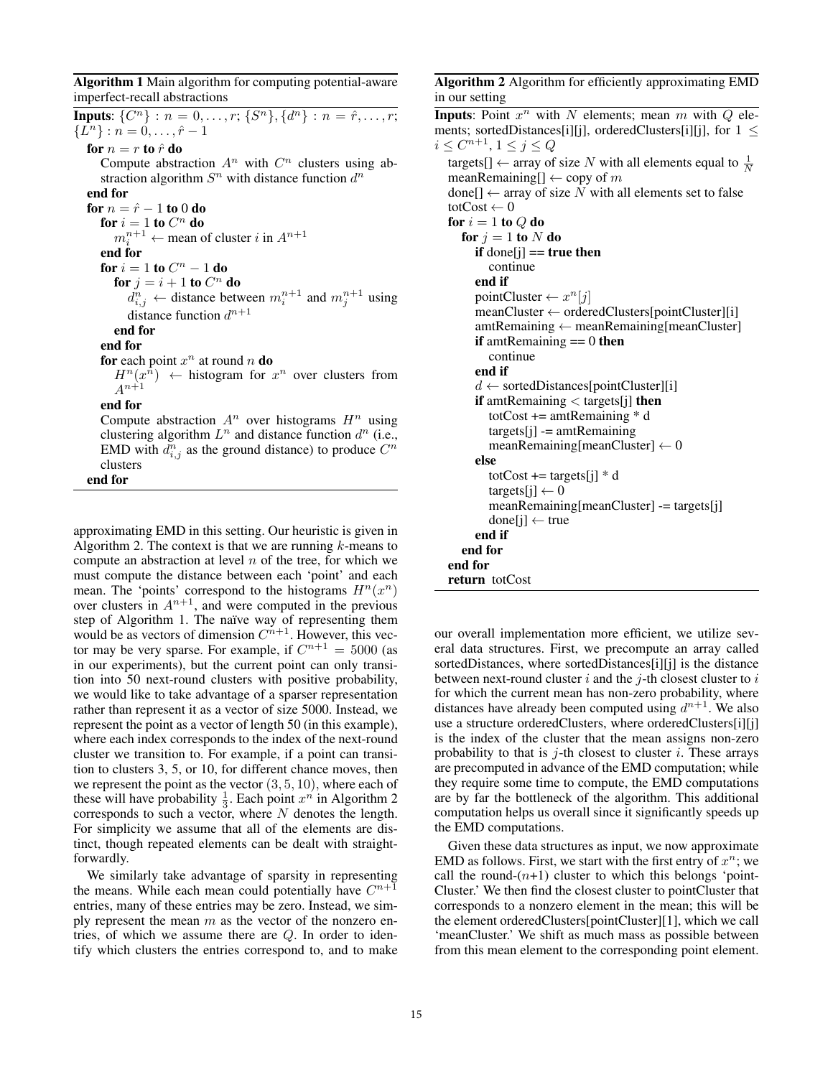Algorithm 1 Main algorithm for computing potential-aware imperfect-recall abstractions

| <b>Inputs:</b> $\{C^n\}$ : $n = 0, \ldots, r$ ; $\{S^n\}, \{d^n\}$ : $n = \hat{r}, \ldots, r$ ; |
|-------------------------------------------------------------------------------------------------|
| ${L^n}$ : $n = 0, \ldots, \hat{r} - 1$                                                          |
| for $n = r$ to $\hat{r}$ do                                                                     |
| Compute abstraction $A^n$ with $C^n$ clusters using ab-                                         |
| straction algorithm $Sn$ with distance function $dn$                                            |
| end for                                                                                         |
| for $n = \hat{r} - 1$ to 0 do                                                                   |
| for $i=1$ to $C^n$ do                                                                           |
| $m_i^{n+1} \leftarrow$ mean of cluster i in $A^{n+1}$                                           |
| end for                                                                                         |
| for $i = 1$ to $C^n - 1$ do                                                                     |
| for $j = i + 1$ to $C^n$ do                                                                     |
| $d_{i,j}^n \leftarrow$ distance between $m_i^{n+1}$ and $m_i^{n+1}$ using                       |
| distance function $d^{n+1}$                                                                     |
| end for                                                                                         |
| end for                                                                                         |
| <b>for</b> each point $x^n$ at round n <b>do</b>                                                |
| $H^n(x^n) \leftarrow$ histogram for $x^n$ over clusters from                                    |
| $A^{n+1}$                                                                                       |
| end for                                                                                         |
| Compute abstraction $A^n$ over histograms $H^n$ using                                           |
| clustering algorithm $L^n$ and distance function $d^n$ (i.e.,                                   |
| EMD with $d_{i,j}^n$ as the ground distance) to produce $C^n$                                   |
| clusters                                                                                        |
| end for                                                                                         |

approximating EMD in this setting. Our heuristic is given in Algorithm 2. The context is that we are running  $k$ -means to compute an abstraction at level  $n$  of the tree, for which we must compute the distance between each 'point' and each mean. The 'points' correspond to the histograms  $H^n(x^n)$ over clusters in  $A^{n+1}$ , and were computed in the previous step of Algorithm 1. The naïve way of representing them would be as vectors of dimension  $C^{n+1}$ . However, this vector may be very sparse. For example, if  $C^{n+1} = 5000$  (as in our experiments), but the current point can only transition into 50 next-round clusters with positive probability, we would like to take advantage of a sparser representation rather than represent it as a vector of size 5000. Instead, we represent the point as a vector of length 50 (in this example), where each index corresponds to the index of the next-round cluster we transition to. For example, if a point can transition to clusters 3, 5, or 10, for different chance moves, then we represent the point as the vector  $(3, 5, 10)$ , where each of these will have probability  $\frac{1}{3}$ . Each point  $x^n$  in Algorithm 2 corresponds to such a vector, where  $N$  denotes the length. For simplicity we assume that all of the elements are distinct, though repeated elements can be dealt with straightforwardly.

We similarly take advantage of sparsity in representing the means. While each mean could potentially have  $C^{n+1}$ entries, many of these entries may be zero. Instead, we simply represent the mean  $m$  as the vector of the nonzero entries, of which we assume there are Q. In order to identify which clusters the entries correspond to, and to make

### Algorithm 2 Algorithm for efficiently approximating EMD in our setting

**Inputs:** Point  $x^n$  with N elements; mean  $m$  with  $Q$  elements; sortedDistances[i][j], orderedClusters[i][j], for 1 <  $i \leq C^{n+1}, 1 \leq j \leq Q$ targets[]  $\leftarrow$  array of size N with all elements equal to  $\frac{1}{N}$ meanRemaining $[] \leftarrow$  copy of m done[]  $\leftarrow$  array of size N with all elements set to false  $totCost \leftarrow 0$ for  $i = 1$  to  $Q$  do for  $j = 1$  to N do if done[j]  $==$  true then continue end if pointCluster  $\leftarrow x^n[j]$  $meanCluster \leftarrow orderedCluster[s[pointCluster][i]$ amtRemaining ← meanRemaining[meanCluster] if amtRemaining  $== 0$  then continue end if  $d \leftarrow$  sortedDistances[pointCluster][i] if amtRemaining  $\langle$  targets[j] then totCost  $+=$  amtRemaining  $*$  d  $\text{targets}[i] = \text{amtRemaining}$ meanRemaining[meanCluster]  $\leftarrow 0$ else totCost  $+=$  targets[j]  $*$  d targets[j]  $\leftarrow 0$ meanRemaining[meanCluster] -= targets[j]  $donel[i] \leftarrow true$ end if end for end for return totCost

our overall implementation more efficient, we utilize several data structures. First, we precompute an array called sortedDistances, where sortedDistances[i][j] is the distance between next-round cluster  $i$  and the  $j$ -th closest cluster to  $i$ for which the current mean has non-zero probability, where distances have already been computed using  $d^{n+1}$ . We also use a structure orderedClusters, where orderedClusters[i][j] is the index of the cluster that the mean assigns non-zero probability to that is  $j$ -th closest to cluster i. These arrays are precomputed in advance of the EMD computation; while they require some time to compute, the EMD computations are by far the bottleneck of the algorithm. This additional computation helps us overall since it significantly speeds up the EMD computations.

Given these data structures as input, we now approximate EMD as follows. First, we start with the first entry of  $x^n$ ; we call the round- $(n+1)$  cluster to which this belongs 'point-Cluster.' We then find the closest cluster to pointCluster that corresponds to a nonzero element in the mean; this will be the element orderedClusters[pointCluster][1], which we call 'meanCluster.' We shift as much mass as possible between from this mean element to the corresponding point element.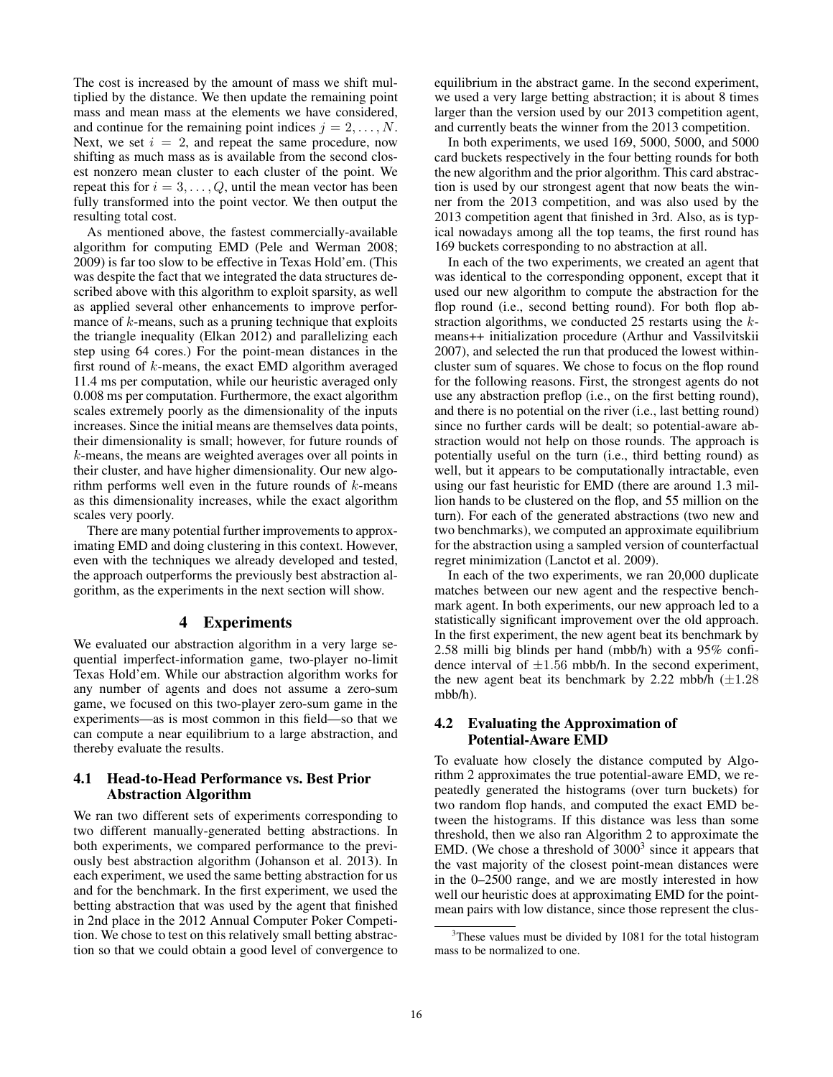The cost is increased by the amount of mass we shift multiplied by the distance. We then update the remaining point mass and mean mass at the elements we have considered, and continue for the remaining point indices  $j = 2, \dots, N$ . Next, we set  $i = 2$ , and repeat the same procedure, now shifting as much mass as is available from the second closest nonzero mean cluster to each cluster of the point. We repeat this for  $i = 3, \ldots, Q$ , until the mean vector has been fully transformed into the point vector. We then output the resulting total cost.

As mentioned above, the fastest commercially-available algorithm for computing EMD (Pele and Werman 2008; 2009) is far too slow to be effective in Texas Hold'em. (This was despite the fact that we integrated the data structures described above with this algorithm to exploit sparsity, as well as applied several other enhancements to improve performance of  $k$ -means, such as a pruning technique that exploits the triangle inequality (Elkan 2012) and parallelizing each step using 64 cores.) For the point-mean distances in the first round of k-means, the exact EMD algorithm averaged 11.4 ms per computation, while our heuristic averaged only 0.008 ms per computation. Furthermore, the exact algorithm scales extremely poorly as the dimensionality of the inputs increases. Since the initial means are themselves data points, their dimensionality is small; however, for future rounds of k-means, the means are weighted averages over all points in their cluster, and have higher dimensionality. Our new algorithm performs well even in the future rounds of  $k$ -means as this dimensionality increases, while the exact algorithm scales very poorly.

There are many potential further improvements to approximating EMD and doing clustering in this context. However, even with the techniques we already developed and tested, the approach outperforms the previously best abstraction algorithm, as the experiments in the next section will show.

## 4 Experiments

We evaluated our abstraction algorithm in a very large sequential imperfect-information game, two-player no-limit Texas Hold'em. While our abstraction algorithm works for any number of agents and does not assume a zero-sum game, we focused on this two-player zero-sum game in the experiments—as is most common in this field—so that we can compute a near equilibrium to a large abstraction, and thereby evaluate the results.

## 4.1 Head-to-Head Performance vs. Best Prior Abstraction Algorithm

We ran two different sets of experiments corresponding to two different manually-generated betting abstractions. In both experiments, we compared performance to the previously best abstraction algorithm (Johanson et al. 2013). In each experiment, we used the same betting abstraction for us and for the benchmark. In the first experiment, we used the betting abstraction that was used by the agent that finished in 2nd place in the 2012 Annual Computer Poker Competition. We chose to test on this relatively small betting abstraction so that we could obtain a good level of convergence to

equilibrium in the abstract game. In the second experiment, we used a very large betting abstraction; it is about 8 times larger than the version used by our 2013 competition agent, and currently beats the winner from the 2013 competition.

In both experiments, we used 169, 5000, 5000, and 5000 card buckets respectively in the four betting rounds for both the new algorithm and the prior algorithm. This card abstraction is used by our strongest agent that now beats the winner from the 2013 competition, and was also used by the 2013 competition agent that finished in 3rd. Also, as is typical nowadays among all the top teams, the first round has 169 buckets corresponding to no abstraction at all.

In each of the two experiments, we created an agent that was identical to the corresponding opponent, except that it used our new algorithm to compute the abstraction for the flop round (i.e., second betting round). For both flop abstraction algorithms, we conducted 25 restarts using the kmeans++ initialization procedure (Arthur and Vassilvitskii 2007), and selected the run that produced the lowest withincluster sum of squares. We chose to focus on the flop round for the following reasons. First, the strongest agents do not use any abstraction preflop (i.e., on the first betting round), and there is no potential on the river (i.e., last betting round) since no further cards will be dealt; so potential-aware abstraction would not help on those rounds. The approach is potentially useful on the turn (i.e., third betting round) as well, but it appears to be computationally intractable, even using our fast heuristic for EMD (there are around 1.3 million hands to be clustered on the flop, and 55 million on the turn). For each of the generated abstractions (two new and two benchmarks), we computed an approximate equilibrium for the abstraction using a sampled version of counterfactual regret minimization (Lanctot et al. 2009).

In each of the two experiments, we ran 20,000 duplicate matches between our new agent and the respective benchmark agent. In both experiments, our new approach led to a statistically significant improvement over the old approach. In the first experiment, the new agent beat its benchmark by 2.58 milli big blinds per hand (mbb/h) with a 95% confidence interval of  $\pm 1.56$  mbb/h. In the second experiment, the new agent beat its benchmark by 2.22 mbb/h  $(\pm 1.28)$ mbb/h).

## 4.2 Evaluating the Approximation of Potential-Aware EMD

To evaluate how closely the distance computed by Algorithm 2 approximates the true potential-aware EMD, we repeatedly generated the histograms (over turn buckets) for two random flop hands, and computed the exact EMD between the histograms. If this distance was less than some threshold, then we also ran Algorithm 2 to approximate the EMD. (We chose a threshold of 3000<sup>3</sup> since it appears that the vast majority of the closest point-mean distances were in the 0–2500 range, and we are mostly interested in how well our heuristic does at approximating EMD for the pointmean pairs with low distance, since those represent the clus-

 $3$ These values must be divided by 1081 for the total histogram mass to be normalized to one.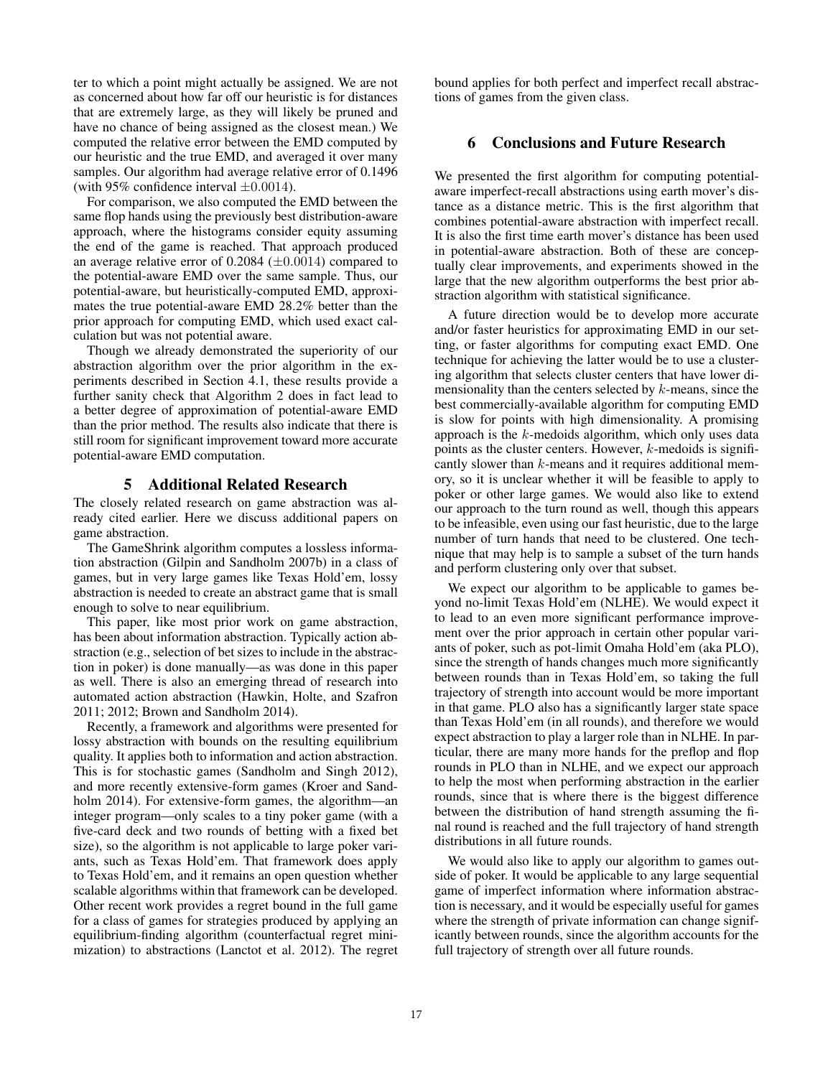ter to which a point might actually be assigned. We are not as concerned about how far off our heuristic is for distances that are extremely large, as they will likely be pruned and have no chance of being assigned as the closest mean.) We computed the relative error between the EMD computed by our heuristic and the true EMD, and averaged it over many samples. Our algorithm had average relative error of 0.1496 (with 95% confidence interval  $\pm 0.0014$ ).

For comparison, we also computed the EMD between the same flop hands using the previously best distribution-aware approach, where the histograms consider equity assuming the end of the game is reached. That approach produced an average relative error of  $0.2084 \ (\pm 0.0014)$  compared to the potential-aware EMD over the same sample. Thus, our potential-aware, but heuristically-computed EMD, approximates the true potential-aware EMD 28.2% better than the prior approach for computing EMD, which used exact calculation but was not potential aware.

Though we already demonstrated the superiority of our abstraction algorithm over the prior algorithm in the experiments described in Section 4.1, these results provide a further sanity check that Algorithm 2 does in fact lead to a better degree of approximation of potential-aware EMD than the prior method. The results also indicate that there is still room for significant improvement toward more accurate potential-aware EMD computation.

#### 5 Additional Related Research

The closely related research on game abstraction was already cited earlier. Here we discuss additional papers on game abstraction.

The GameShrink algorithm computes a lossless information abstraction (Gilpin and Sandholm 2007b) in a class of games, but in very large games like Texas Hold'em, lossy abstraction is needed to create an abstract game that is small enough to solve to near equilibrium.

This paper, like most prior work on game abstraction, has been about information abstraction. Typically action abstraction (e.g., selection of bet sizes to include in the abstraction in poker) is done manually—as was done in this paper as well. There is also an emerging thread of research into automated action abstraction (Hawkin, Holte, and Szafron 2011; 2012; Brown and Sandholm 2014).

Recently, a framework and algorithms were presented for lossy abstraction with bounds on the resulting equilibrium quality. It applies both to information and action abstraction. This is for stochastic games (Sandholm and Singh 2012), and more recently extensive-form games (Kroer and Sandholm 2014). For extensive-form games, the algorithm—an integer program—only scales to a tiny poker game (with a five-card deck and two rounds of betting with a fixed bet size), so the algorithm is not applicable to large poker variants, such as Texas Hold'em. That framework does apply to Texas Hold'em, and it remains an open question whether scalable algorithms within that framework can be developed. Other recent work provides a regret bound in the full game for a class of games for strategies produced by applying an equilibrium-finding algorithm (counterfactual regret minimization) to abstractions (Lanctot et al. 2012). The regret

bound applies for both perfect and imperfect recall abstractions of games from the given class.

# 6 Conclusions and Future Research

We presented the first algorithm for computing potentialaware imperfect-recall abstractions using earth mover's distance as a distance metric. This is the first algorithm that combines potential-aware abstraction with imperfect recall. It is also the first time earth mover's distance has been used in potential-aware abstraction. Both of these are conceptually clear improvements, and experiments showed in the large that the new algorithm outperforms the best prior abstraction algorithm with statistical significance.

A future direction would be to develop more accurate and/or faster heuristics for approximating EMD in our setting, or faster algorithms for computing exact EMD. One technique for achieving the latter would be to use a clustering algorithm that selects cluster centers that have lower dimensionality than the centers selected by  $k$ -means, since the best commercially-available algorithm for computing EMD is slow for points with high dimensionality. A promising approach is the  $k$ -medoids algorithm, which only uses data points as the cluster centers. However,  $k$ -medoids is significantly slower than k-means and it requires additional memory, so it is unclear whether it will be feasible to apply to poker or other large games. We would also like to extend our approach to the turn round as well, though this appears to be infeasible, even using our fast heuristic, due to the large number of turn hands that need to be clustered. One technique that may help is to sample a subset of the turn hands and perform clustering only over that subset.

We expect our algorithm to be applicable to games beyond no-limit Texas Hold'em (NLHE). We would expect it to lead to an even more significant performance improvement over the prior approach in certain other popular variants of poker, such as pot-limit Omaha Hold'em (aka PLO), since the strength of hands changes much more significantly between rounds than in Texas Hold'em, so taking the full trajectory of strength into account would be more important in that game. PLO also has a significantly larger state space than Texas Hold'em (in all rounds), and therefore we would expect abstraction to play a larger role than in NLHE. In particular, there are many more hands for the preflop and flop rounds in PLO than in NLHE, and we expect our approach to help the most when performing abstraction in the earlier rounds, since that is where there is the biggest difference between the distribution of hand strength assuming the final round is reached and the full trajectory of hand strength distributions in all future rounds.

We would also like to apply our algorithm to games outside of poker. It would be applicable to any large sequential game of imperfect information where information abstraction is necessary, and it would be especially useful for games where the strength of private information can change significantly between rounds, since the algorithm accounts for the full trajectory of strength over all future rounds.